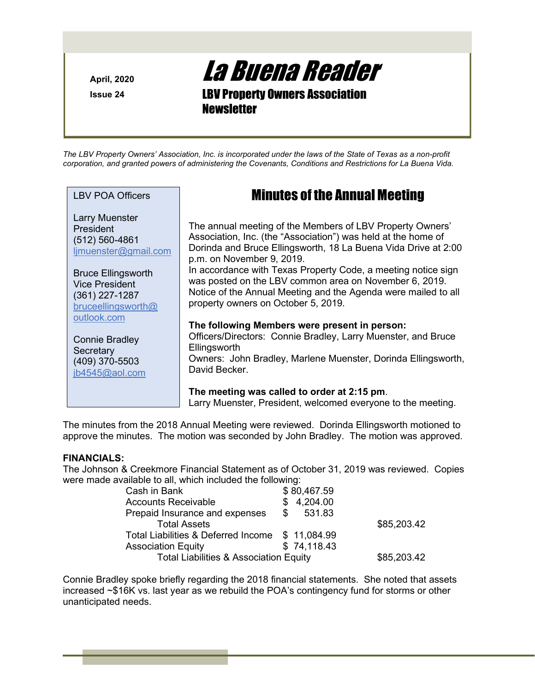Issue 24

April, 2020 **La Buena Reader** de la **La Buena Reader** 

LBV Property Owners Association **Newsletter** 

The LBV Property Owners' Association, Inc. is incorporated under the laws of the State of Texas as a non-profit corporation, and granted powers of administering the Covenants, Conditions and Restrictions for La Buena Vida.

LBV POA Officers

Larry Muenster President (512) 560-4861 ljmuenster@gmail.com

Bruce Ellingsworth Vice President (361) 227-1287 bruceellingsworth@ outlook.com

Connie Bradley **Secretary** (409) 370-5503 jb4545@aol.com

# Minutes of the Annual Meeting

The annual meeting of the Members of LBV Property Owners' Association, Inc. (the "Association") was held at the home of Dorinda and Bruce Ellingsworth, 18 La Buena Vida Drive at 2:00 p.m. on November 9, 2019.

In accordance with Texas Property Code, a meeting notice sign was posted on the LBV common area on November 6, 2019. Notice of the Annual Meeting and the Agenda were mailed to all property owners on October 5, 2019.

#### The following Members were present in person:

Officers/Directors: Connie Bradley, Larry Muenster, and Bruce **Ellingsworth** Owners: John Bradley, Marlene Muenster, Dorinda Ellingsworth, David Becker.

The meeting was called to order at 2:15 pm. Larry Muenster, President, welcomed everyone to the meeting.

The minutes from the 2018 Annual Meeting were reviewed. Dorinda Ellingsworth motioned to approve the minutes. The motion was seconded by John Bradley. The motion was approved.

### FINANCIALS:

The Johnson & Creekmore Financial Statement as of October 31, 2019 was reviewed. Copies were made available to all, which included the following:

| Cash in Bank                                      | \$80,467.59 |             |
|---------------------------------------------------|-------------|-------------|
| <b>Accounts Receivable</b>                        | 4,204.00    |             |
| Prepaid Insurance and expenses                    | \$531.83    |             |
| <b>Total Assets</b>                               |             | \$85,203.42 |
| Total Liabilities & Deferred Income \$ 11,084.99  |             |             |
| <b>Association Equity</b>                         | \$74,118.43 |             |
| <b>Total Liabilities &amp; Association Equity</b> |             | \$85,203.42 |

Connie Bradley spoke briefly regarding the 2018 financial statements. She noted that assets increased ~\$16K vs. last year as we rebuild the POA's contingency fund for storms or other unanticipated needs.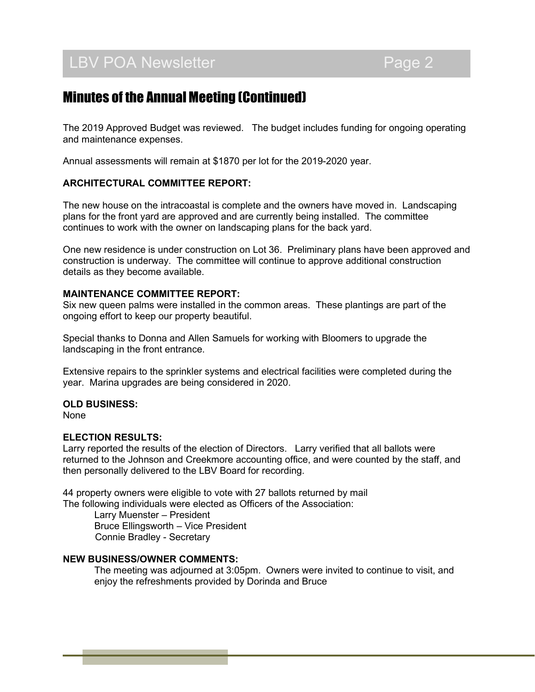# LBV POA Newsletter **EXAMPLE 2** Page 2

### Minutes of the Annual Meeting (Continued)

The 2019 Approved Budget was reviewed. The budget includes funding for ongoing operating and maintenance expenses.

Annual assessments will remain at \$1870 per lot for the 2019-2020 year.

### ARCHITECTURAL COMMITTEE REPORT:

The new house on the intracoastal is complete and the owners have moved in. Landscaping plans for the front yard are approved and are currently being installed. The committee continues to work with the owner on landscaping plans for the back yard.

One new residence is under construction on Lot 36. Preliminary plans have been approved and construction is underway. The committee will continue to approve additional construction details as they become available.

### MAINTENANCE COMMITTEE REPORT:

Six new queen palms were installed in the common areas. These plantings are part of the ongoing effort to keep our property beautiful.

Special thanks to Donna and Allen Samuels for working with Bloomers to upgrade the landscaping in the front entrance.

Extensive repairs to the sprinkler systems and electrical facilities were completed during the year. Marina upgrades are being considered in 2020.

#### OLD BUSINESS:

None

### ELECTION RESULTS:

Larry reported the results of the election of Directors. Larry verified that all ballots were returned to the Johnson and Creekmore accounting office, and were counted by the staff, and then personally delivered to the LBV Board for recording.

44 property owners were eligible to vote with 27 ballots returned by mail The following individuals were elected as Officers of the Association:

> Larry Muenster – President Bruce Ellingsworth – Vice President Connie Bradley - Secretary

### NEW BUSINESS/OWNER COMMENTS:

The meeting was adjourned at 3:05pm. Owners were invited to continue to visit, and enjoy the refreshments provided by Dorinda and Bruce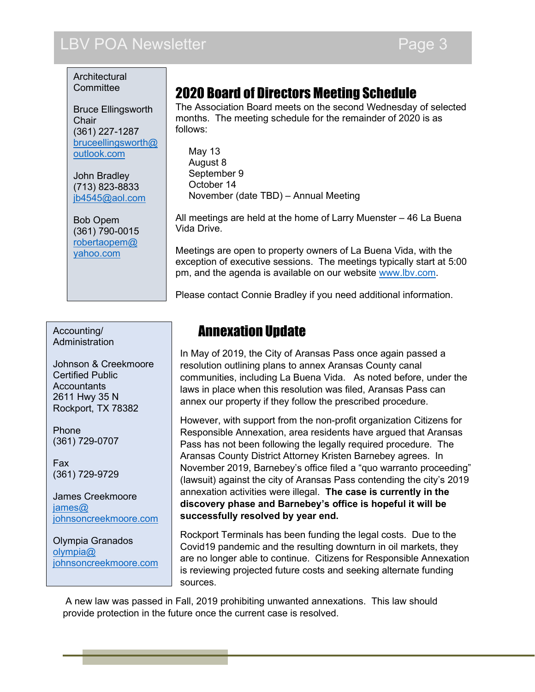# LBV POA Newsletter **Page 3**

**Architectural Committee** 

Bruce Ellingsworth **Chair** (361) 227-1287 bruceellingsworth@ outlook.com

John Bradley (713) 823-8833 jb4545@aol.com

Bob Opem (361) 790-0015 robertaopem@ yahoo.com

### Accounting/ **Administration**

Johnson & Creekmoore Certified Public **Accountants** 2611 Hwy 35 N Rockport, TX 78382

Phone (361) 729-0707

Fax (361) 729-9729

James Creekmoore james@ johnsoncreekmoore.com

Olympia Granados olympia@ johnsoncreekmoore.com

# 2020 Board of Directors Meeting Schedule

The Association Board meets on the second Wednesday of selected months. The meeting schedule for the remainder of 2020 is as follows:

 May 13 August 8 September 9 October 14 November (date TBD) – Annual Meeting

All meetings are held at the home of Larry Muenster – 46 La Buena Vida Drive.

Meetings are open to property owners of La Buena Vida, with the exception of executive sessions. The meetings typically start at 5:00 pm, and the agenda is available on our website www.lbv.com.

Please contact Connie Bradley if you need additional information.

### Annexation Update

In May of 2019, the City of Aransas Pass once again passed a resolution outlining plans to annex Aransas County canal communities, including La Buena Vida. As noted before, under the laws in place when this resolution was filed, Aransas Pass can annex our property if they follow the prescribed procedure.

However, with support from the non-profit organization Citizens for Responsible Annexation, area residents have argued that Aransas Pass has not been following the legally required procedure. The Aransas County District Attorney Kristen Barnebey agrees. In November 2019, Barnebey's office filed a "quo warranto proceeding" (lawsuit) against the city of Aransas Pass contending the city's 2019 annexation activities were illegal. The case is currently in the discovery phase and Barnebey's office is hopeful it will be successfully resolved by year end.

Rockport Terminals has been funding the legal costs. Due to the Covid19 pandemic and the resulting downturn in oil markets, they are no longer able to continue. Citizens for Responsible Annexation is reviewing projected future costs and seeking alternate funding sources.

 A new law was passed in Fall, 2019 prohibiting unwanted annexations. This law should provide protection in the future once the current case is resolved.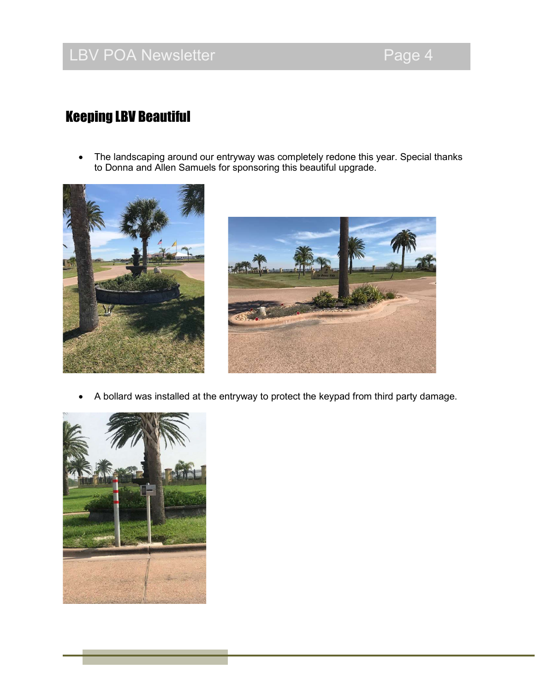# LBV POA Newsletter **Page 4**

# Keeping LBV Beautiful

 The landscaping around our entryway was completely redone this year. Special thanks to Donna and Allen Samuels for sponsoring this beautiful upgrade.





A bollard was installed at the entryway to protect the keypad from third party damage.

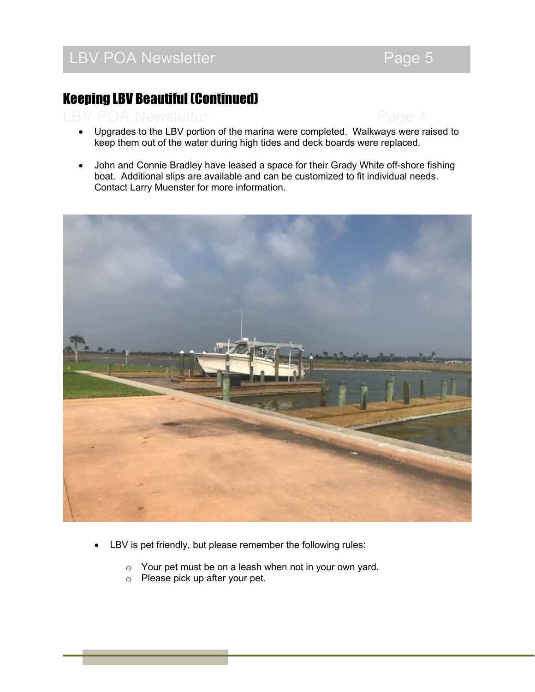# Keeping LBV Beautiful (Continued)



• John and Connie Bradley have leased a space for their Grady White off-shore fishing boat. Additional slips are available and can be customized to fit individual needs. Contact Larry Muenster for more information.



- LBV is pet friendly, but please remember the following rules:
	- $\circ$  Your pet must be on a leash when not in your own yard.
	- o Please pick up after your pet.